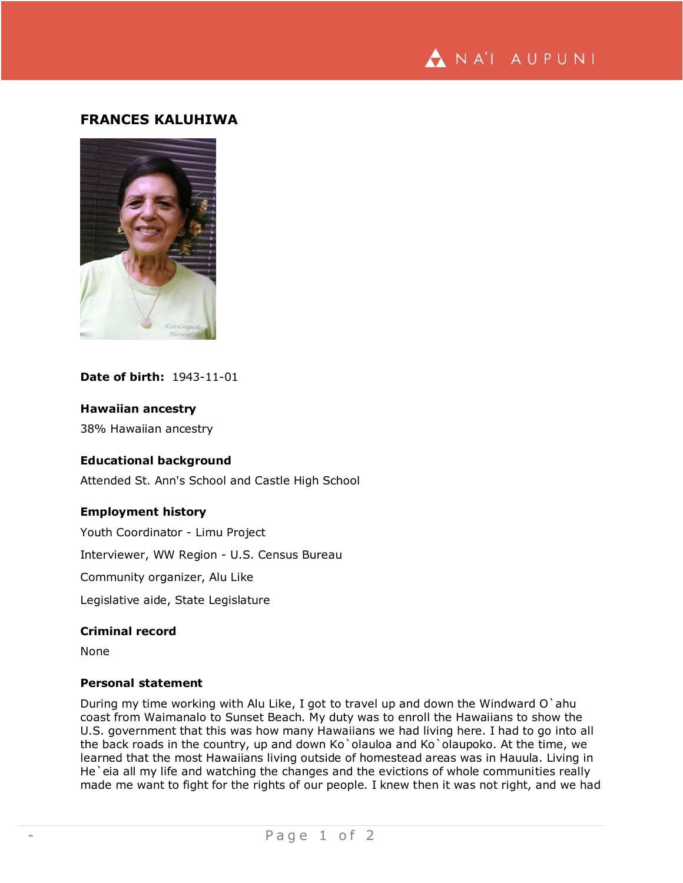

# **FRANCES KALUHIWA**



# **Date of birth:** 1943-11-01

### **Hawaiian ancestry**

38% Hawaiian ancestry

# **Educational background**

Attended St. Ann's School and Castle High School

### **Employment history**

Youth Coordinator - Limu Project

Interviewer, WW Region - U.S. Census Bureau

Community organizer, Alu Like

Legislative aide, State Legislature

#### **Criminal record**

None

#### **Personal statement**

During my time working with Alu Like, I got to travel up and down the Windward O`ahu coast from Waimanalo to Sunset Beach. My duty was to enroll the Hawaiians to show the U.S. government that this was how many Hawaiians we had living here. I had to go into all the back roads in the country, up and down Ko`olauloa and Ko`olaupoko. At the time, we learned that the most Hawaiians living outside of homestead areas was in Hauula. Living in He'eia all my life and watching the changes and the evictions of whole communities really made me want to fight for the rights of our people. I knew then it was not right, and we had